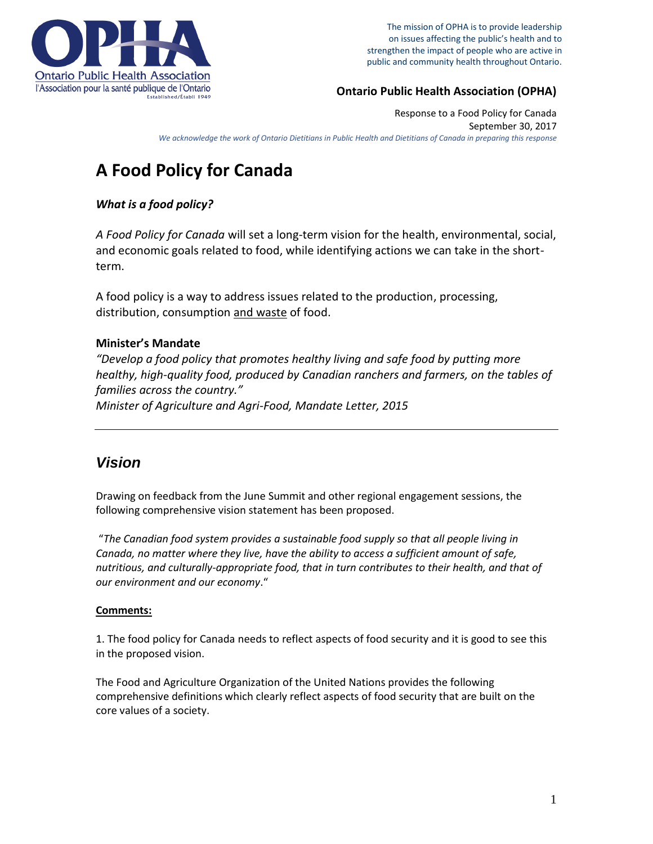

The mission of OPHA is to provide leadership on issues affecting the public's health and to strengthen the impact of people who are active in public and community health throughout Ontario.

### **Ontario Public Health Association (OPHA)**

Response to a Food Policy for Canada September 30, 2017 *We acknowledge the work of Ontario Dietitians in Public Health and Dietitians of Canada in preparing this response*

# **A Food Policy for Canada**

### *What is a food policy?*

*A Food Policy for Canada* will set a long-term vision for the health, environmental, social, and economic goals related to food, while identifying actions we can take in the shortterm.

A food policy is a way to address issues related to the production, processing, distribution, consumption and waste of food.

### **Minister's Mandate**

*"Develop a food policy that promotes healthy living and safe food by putting more healthy, high-quality food, produced by Canadian ranchers and farmers, on the tables of families across the country." Minister of Agriculture and Agri-Food, Mandate Letter, 2015*

# *Vision*

Drawing on feedback from the June Summit and other regional engagement sessions, the following comprehensive vision statement has been proposed.

"*The Canadian food system provides a sustainable food supply so that all people living in Canada, no matter where they live, have the ability to access a sufficient amount of safe, nutritious, and culturally-appropriate food, that in turn contributes to their health, and that of our environment and our economy*."

#### **Comments:**

1. The food policy for Canada needs to reflect aspects of food security and it is good to see this in the proposed vision.

The Food and Agriculture Organization of the United Nations provides the following comprehensive definitions which clearly reflect aspects of food security that are built on the core values of a society.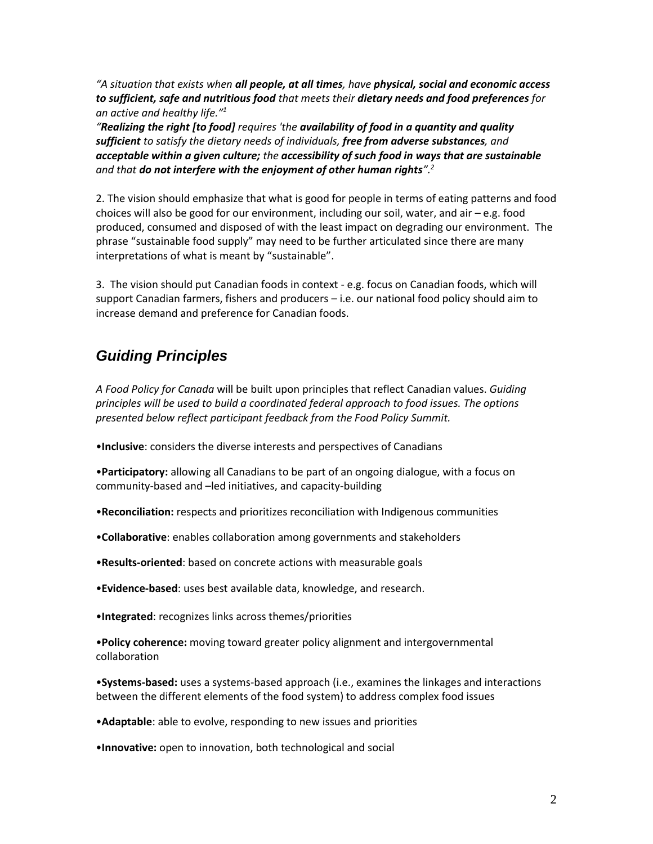*"A situation that exists when all people, at all times, have physical, social and economic access to sufficient, safe and nutritious food that meets their dietary needs and food preferences for an active and healthy life."<sup>1</sup>*

*"Realizing the right [to food] requires 'the availability of food in a quantity and quality sufficient to satisfy the dietary needs of individuals, free from adverse substances, and acceptable within a given culture; the accessibility of such food in ways that are sustainable and that do not interfere with the enjoyment of other human rights".<sup>2</sup>*

2. The vision should emphasize that what is good for people in terms of eating patterns and food choices will also be good for our environment, including our soil, water, and air – e.g. food produced, consumed and disposed of with the least impact on degrading our environment. The phrase "sustainable food supply" may need to be further articulated since there are many interpretations of what is meant by "sustainable".

3. The vision should put Canadian foods in context - e.g. focus on Canadian foods, which will support Canadian farmers, fishers and producers – i.e. our national food policy should aim to increase demand and preference for Canadian foods.

# *Guiding Principles*

*A Food Policy for Canada* will be built upon principles that reflect Canadian values. *Guiding principles will be used to build a coordinated federal approach to food issues. The options presented below reflect participant feedback from the Food Policy Summit.*

•**Inclusive**: considers the diverse interests and perspectives of Canadians

•**Participatory:** allowing all Canadians to be part of an ongoing dialogue, with a focus on community-based and –led initiatives, and capacity-building

•**Reconciliation:** respects and prioritizes reconciliation with Indigenous communities

•**Collaborative**: enables collaboration among governments and stakeholders

•**Results-oriented**: based on concrete actions with measurable goals

•**Evidence-based**: uses best available data, knowledge, and research.

•**Integrated**: recognizes links across themes/priorities

•**Policy coherence:** moving toward greater policy alignment and intergovernmental collaboration

•**Systems-based:** uses a systems-based approach (i.e., examines the linkages and interactions between the different elements of the food system) to address complex food issues

•**Adaptable**: able to evolve, responding to new issues and priorities

•**Innovative:** open to innovation, both technological and social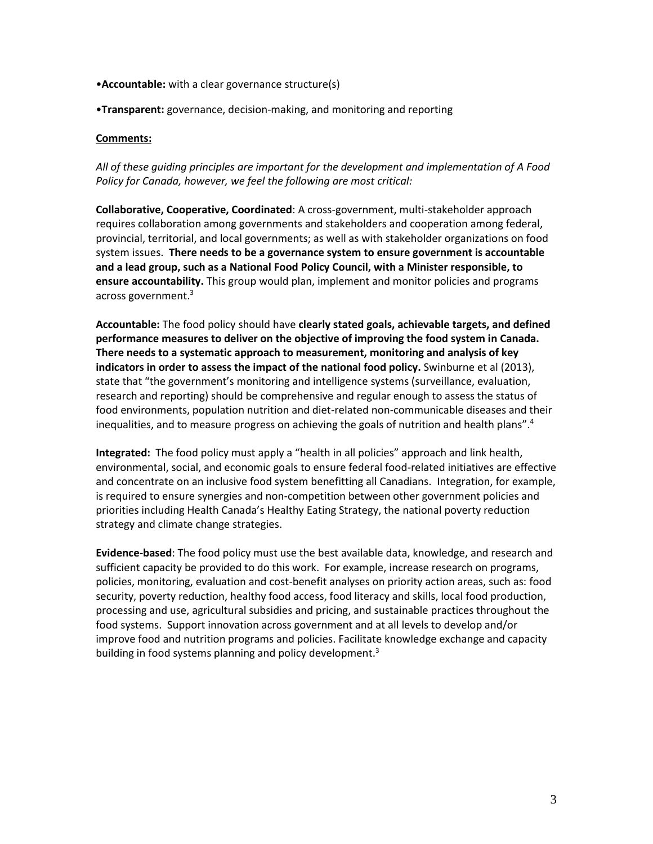- •**Accountable:** with a clear governance structure(s)
- •**Transparent:** governance, decision-making, and monitoring and reporting

#### **Comments:**

*All of these guiding principles are important for the development and implementation of A Food Policy for Canada, however, we feel the following are most critical:* 

**Collaborative, Cooperative, Coordinated**: A cross-government, multi-stakeholder approach requires collaboration among governments and stakeholders and cooperation among federal, provincial, territorial, and local governments; as well as with stakeholder organizations on food system issues. **There needs to be a governance system to ensure government is accountable and a lead group, such as a National Food Policy Council, with a Minister responsible, to ensure accountability.** This group would plan, implement and monitor policies and programs across government.<sup>3</sup>

**Accountable:** The food policy should have **clearly stated goals, achievable targets, and defined performance measures to deliver on the objective of improving the food system in Canada. There needs to a systematic approach to measurement, monitoring and analysis of key indicators in order to assess the impact of the national food policy.** Swinburne et al (2013), state that "the government's monitoring and intelligence systems (surveillance, evaluation, research and reporting) should be comprehensive and regular enough to assess the status of food environments, population nutrition and diet-related non-communicable diseases and their inequalities, and to measure progress on achieving the goals of nutrition and health plans".<sup>4</sup>

**Integrated:** The food policy must apply a "health in all policies" approach and link health, environmental, social, and economic goals to ensure federal food-related initiatives are effective and concentrate on an inclusive food system benefitting all Canadians. Integration, for example, is required to ensure synergies and non-competition between other government policies and priorities including Health Canada's Healthy Eating Strategy, the national poverty reduction strategy and climate change strategies.

**Evidence-based**: The food policy must use the best available data, knowledge, and research and sufficient capacity be provided to do this work. For example, increase research on programs, policies, monitoring, evaluation and cost-benefit analyses on priority action areas, such as: food security, poverty reduction, healthy food access, food literacy and skills, local food production, processing and use, agricultural subsidies and pricing, and sustainable practices throughout the food systems. Support innovation across government and at all levels to develop and/or improve food and nutrition programs and policies. Facilitate knowledge exchange and capacity building in food systems planning and policy development.<sup>3</sup>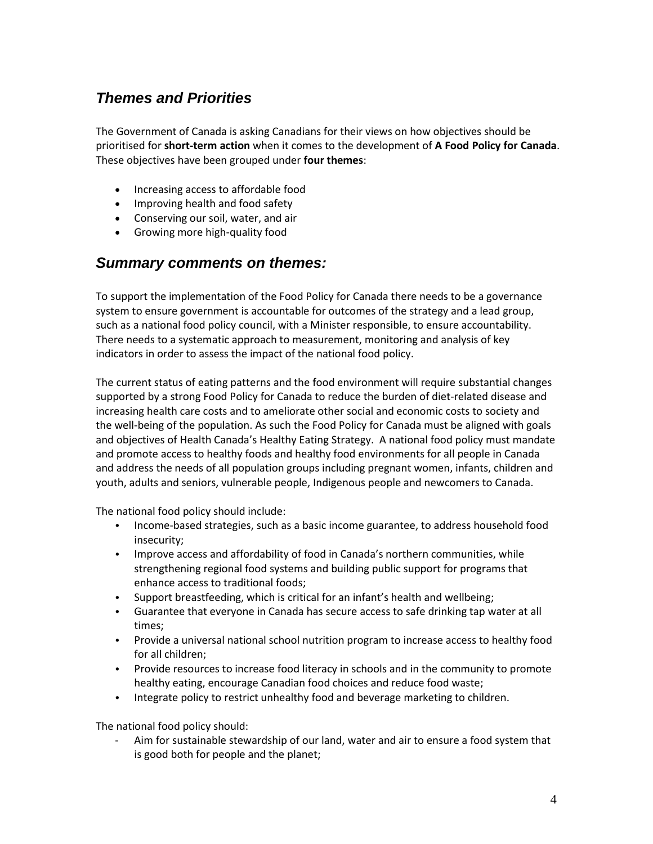# *Themes and Priorities*

The Government of Canada is asking Canadians for their views on how objectives should be prioritised for **short-term action** when it comes to the development of **A Food Policy for Canada**. These objectives have been grouped under **four themes**:

- Increasing access to affordable food
- Improving health and food safety
- Conserving our soil, water, and air
- Growing more high-quality food

# *Summary comments on themes:*

To support the implementation of the Food Policy for Canada there needs to be a governance system to ensure government is accountable for outcomes of the strategy and a lead group, such as a national food policy council, with a Minister responsible, to ensure accountability. There needs to a systematic approach to measurement, monitoring and analysis of key indicators in order to assess the impact of the national food policy.

The current status of eating patterns and the food environment will require substantial changes supported by a strong Food Policy for Canada to reduce the burden of diet-related disease and increasing health care costs and to ameliorate other social and economic costs to society and the well-being of the population. As such the Food Policy for Canada must be aligned with goals and objectives of Health Canada's Healthy Eating Strategy. A national food policy must mandate and promote access to healthy foods and healthy food environments for all people in Canada and address the needs of all population groups including pregnant women, infants, children and youth, adults and seniors, vulnerable people, Indigenous people and newcomers to Canada.

The national food policy should include:

- Income-based strategies, such as a basic income guarantee, to address household food insecurity;
- Improve access and affordability of food in Canada's northern communities, while strengthening regional food systems and building public support for programs that enhance access to traditional foods;
- Support breastfeeding, which is critical for an infant's health and wellbeing;
- Guarantee that everyone in Canada has secure access to safe drinking tap water at all times;
- Provide a universal national school nutrition program to increase access to healthy food for all children;
- Provide resources to increase food literacy in schools and in the community to promote healthy eating, encourage Canadian food choices and reduce food waste;
- Integrate policy to restrict unhealthy food and beverage marketing to children.

The national food policy should:

Aim for sustainable stewardship of our land, water and air to ensure a food system that is good both for people and the planet;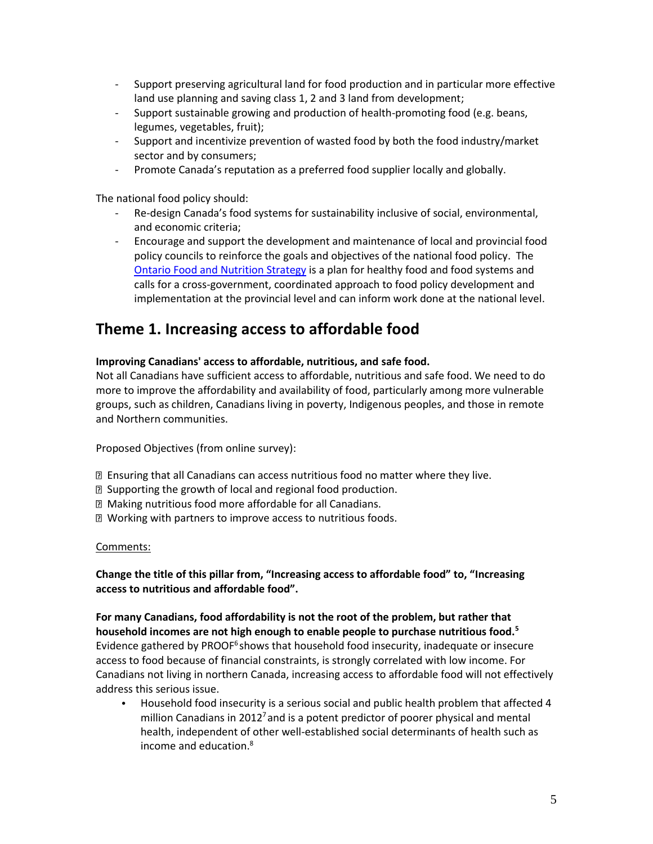- Support preserving agricultural land for food production and in particular more effective land use planning and saving class 1, 2 and 3 land from development;
- Support sustainable growing and production of health-promoting food (e.g. beans, legumes, vegetables, fruit);
- Support and incentivize prevention of wasted food by both the food industry/market sector and by consumers;
- Promote Canada's reputation as a preferred food supplier locally and globally.

The national food policy should:

- Re-design Canada's food systems for sustainability inclusive of social, environmental, and economic criteria;
- Encourage and support the development and maintenance of local and provincial food policy councils to reinforce the goals and objectives of the national food policy. The [Ontario Food and Nutrition Strategy](http://sustainontario.com/work/ofns) is a plan for healthy food and food systems and calls for a cross-government, coordinated approach to food policy development and implementation at the provincial level and can inform work done at the national level.

# **Theme 1. Increasing access to affordable food**

#### **Improving Canadians' access to affordable, nutritious, and safe food.**

Not all Canadians have sufficient access to affordable, nutritious and safe food. We need to do more to improve the affordability and availability of food, particularly among more vulnerable groups, such as children, Canadians living in poverty, Indigenous peoples, and those in remote and Northern communities.

Proposed Objectives (from online survey):

- Ensuring that all Canadians can access nutritious food no matter where they live.
- Supporting the growth of local and regional food production.
- Making nutritious food more affordable for all Canadians.
- Working with partners to improve access to nutritious foods.

#### Comments:

**Change the title of this pillar from, "Increasing access to affordable food" to, "Increasing access to nutritious and affordable food".** 

**For many Canadians, food affordability is not the root of the problem, but rather that household incomes are not high enough to enable people to purchase nutritious food.<sup>5</sup>** Evidence gathered by PROOF<sup>6</sup>shows that household food insecurity, inadequate or insecure access to food because of financial constraints, is strongly correlated with low income. For Canadians not living in northern Canada, increasing access to affordable food will not effectively address this serious issue.

• Household food insecurity is a serious social and public health problem that affected 4 million Canadians in  $2012<sup>7</sup>$  and is a potent predictor of poorer physical and mental health, independent of other well-established social determinants of health such as income and education. 8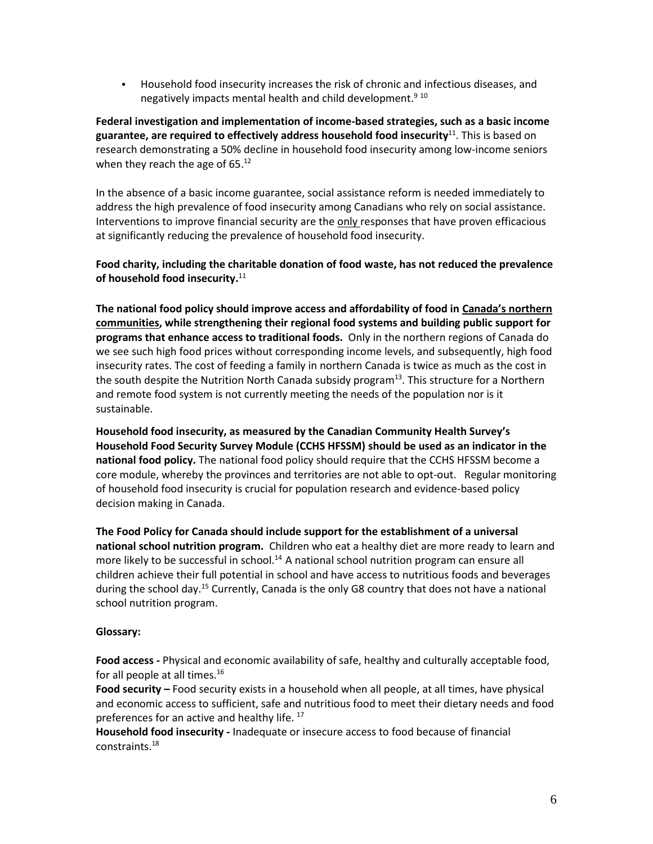• Household food insecurity increases the risk of chronic and infectious diseases, and negatively impacts mental health and child development.<sup>9 10</sup>

**Federal investigation and implementation of income-based strategies, such as a basic income guarantee, are required to effectively address household food insecurity**<sup>11</sup>. This is based on research demonstrating a 50% decline in household food insecurity among low-income seniors when they reach the age of 65.<sup>12</sup>

In the absence of a basic income guarantee, social assistance reform is needed immediately to address the high prevalence of food insecurity among Canadians who rely on social assistance. Interventions to improve financial security are the only responses that have proven efficacious at significantly reducing the prevalence of household food insecurity.

**Food charity, including the charitable donation of food waste, has not reduced the prevalence of household food insecurity.** 11

**The national food policy should improve access and affordability of food in Canada's northern communities, while strengthening their regional food systems and building public support for programs that enhance access to traditional foods.** Only in the northern regions of Canada do we see such high food prices without corresponding income levels, and subsequently, high food insecurity rates. The cost of feeding a family in northern Canada is twice as much as the cost in the south despite the Nutrition North Canada subsidy program<sup>13</sup>. This structure for a Northern and remote food system is not currently meeting the needs of the population nor is it sustainable.

**Household food insecurity, as measured by the Canadian Community Health Survey's Household Food Security Survey Module (CCHS HFSSM) should be used as an indicator in the national food policy.** The national food policy should require that the CCHS HFSSM become a core module, whereby the provinces and territories are not able to opt-out. Regular monitoring of household food insecurity is crucial for population research and evidence-based policy decision making in Canada.

**The Food Policy for Canada should include support for the establishment of a universal national school nutrition program.** Children who eat a healthy diet are more ready to learn and more likely to be successful in school.<sup>14</sup> A national school nutrition program can ensure all children achieve their full potential in school and have access to nutritious foods and beverages during the school day.<sup>15</sup> Currently, Canada is the only G8 country that does not have a national school nutrition program.

#### **Glossary:**

**Food access -** Physical and economic availability of safe, healthy and culturally acceptable food, for all people at all times.<sup>16</sup>

**Food security –** Food security exists in a household when all people, at all times, have physical and economic access to sufficient, safe and nutritious food to meet their dietary needs and food preferences for an active and healthy life. <sup>17</sup>

**Household food insecurity -** Inadequate or insecure access to food because of financial constraints.18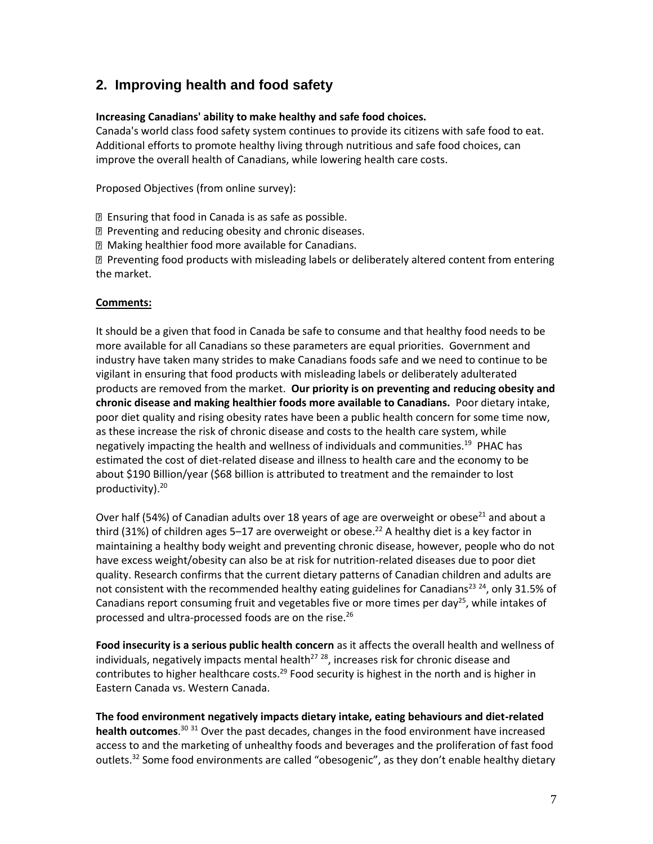# **2. Improving health and food safety**

#### **Increasing Canadians' ability to make healthy and safe food choices.**

Canada's world class food safety system continues to provide its citizens with safe food to eat. Additional efforts to promote healthy living through nutritious and safe food choices, can improve the overall health of Canadians, while lowering health care costs.

Proposed Objectives (from online survey):

Ensuring that food in Canada is as safe as possible.

Preventing and reducing obesity and chronic diseases.

Making healthier food more available for Canadians.

 Preventing food products with misleading labels or deliberately altered content from entering the market.

#### **Comments:**

It should be a given that food in Canada be safe to consume and that healthy food needs to be more available for all Canadians so these parameters are equal priorities. Government and industry have taken many strides to make Canadians foods safe and we need to continue to be vigilant in ensuring that food products with misleading labels or deliberately adulterated products are removed from the market. **Our priority is on preventing and reducing obesity and chronic disease and making healthier foods more available to Canadians.** Poor dietary intake, poor diet quality and rising obesity rates have been a public health concern for some time now, as these increase the risk of chronic disease and costs to the health care system, while negatively impacting the health and wellness of individuals and communities.<sup>19</sup> PHAC has estimated the cost of diet-related disease and illness to health care and the economy to be about \$190 Billion/year (\$68 billion is attributed to treatment and the remainder to lost productivity).<sup>20</sup>

Over half (54%) of Canadian adults over 18 years of age are overweight or obese<sup>21</sup> and about a third (31%) of children ages 5–17 are overweight or obese.<sup>22</sup> A healthy diet is a key factor in maintaining a healthy body weight and preventing chronic disease, however, people who do not have excess weight/obesity can also be at risk for nutrition-related diseases due to poor diet quality. Research confirms that the current dietary patterns of Canadian children and adults are not consistent with the recommended healthy eating guidelines for Canadians<sup>23 24</sup>, only 31.5% of Canadians report consuming fruit and vegetables five or more times per day<sup>25</sup>, while intakes of processed and ultra-processed foods are on the rise.<sup>26</sup>

**Food insecurity is a serious public health concern** as it affects the overall health and wellness of individuals, negatively impacts mental health<sup>27 28</sup>, increases risk for chronic disease and contributes to higher healthcare costs.<sup>29</sup> Food security is highest in the north and is higher in Eastern Canada vs. Western Canada.

**The food environment negatively impacts dietary intake, eating behaviours and diet-related health outcomes**. <sup>30</sup> <sup>31</sup> Over the past decades, changes in the food environment have increased access to and the marketing of unhealthy foods and beverages and the proliferation of fast food outlets.<sup>32</sup> Some food environments are called "obesogenic", as they don't enable healthy dietary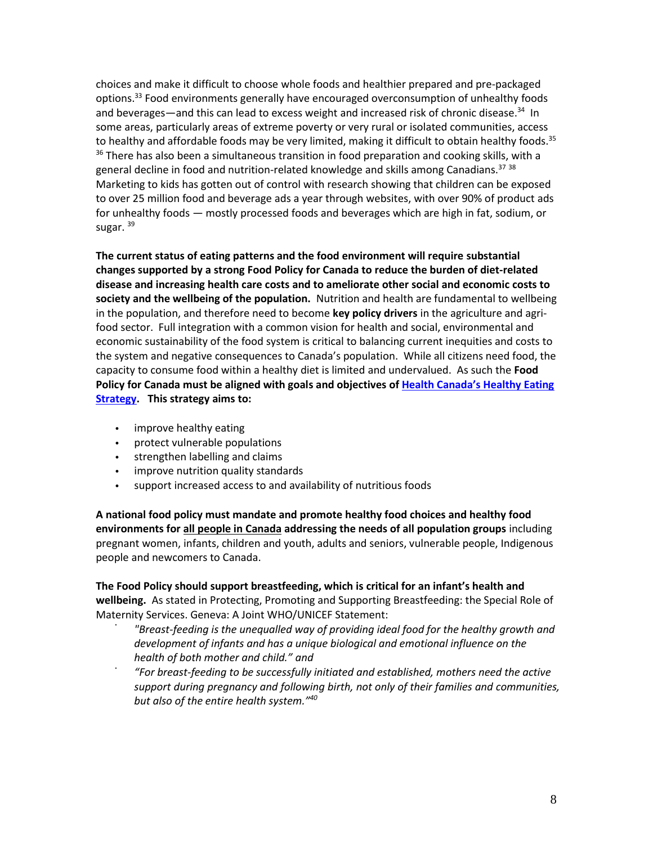choices and make it difficult to choose whole foods and healthier prepared and pre-packaged options.<sup>33</sup> Food environments generally have encouraged overconsumption of unhealthy foods and beverages—and this can lead to excess weight and increased risk of chronic disease.<sup>34</sup> In some areas, particularly areas of extreme poverty or very rural or isolated communities, access to healthy and affordable foods may be very limited, making it difficult to obtain healthy foods.<sup>35</sup>  $36$  There has also been a simultaneous transition in food preparation and cooking skills, with a general decline in food and nutrition-related knowledge and skills among Canadians.<sup>37</sup> 38 Marketing to kids has gotten out of control with research showing that children can be exposed to over 25 million food and beverage ads a year through websites, with over 90% of product ads for unhealthy foods — mostly processed foods and beverages which are high in fat, sodium, or sugar.<sup>39</sup>

**The current status of eating patterns and the food environment will require substantial changes supported by a strong Food Policy for Canada to reduce the burden of diet-related disease and increasing health care costs and to ameliorate other social and economic costs to society and the wellbeing of the population.** Nutrition and health are fundamental to wellbeing in the population, and therefore need to become **key policy drivers** in the agriculture and agrifood sector. Full integration with a common vision for health and social, environmental and economic sustainability of the food system is critical to balancing current inequities and costs to the system and negative consequences to Canada's population. While all citizens need food, the capacity to consume food within a healthy diet is limited and undervalued. As such the **Food Policy for Canada must be aligned with goals and objectives of [Health Canada's Healthy Eating](https://www.canada.ca/en/services/health/campaigns/vision-healthy-canada/healthy-eating.html)  [Strategy.](https://www.canada.ca/en/services/health/campaigns/vision-healthy-canada/healthy-eating.html) This strategy aims to:**

- improve healthy eating
- protect vulnerable populations
- strengthen labelling and claims
- improve nutrition quality standards
- support increased access to and availability of nutritious foods

**A national food policy must mandate and promote healthy food choices and healthy food environments for all people in Canada addressing the needs of all population groups** including pregnant women, infants, children and youth, adults and seniors, vulnerable people, Indigenous people and newcomers to Canada.

**The Food Policy should support breastfeeding, which is critical for an infant's health and wellbeing.** As stated in Protecting, Promoting and Supporting Breastfeeding: the Special Role of Maternity Services. Geneva: A Joint WHO/UNICEF Statement:

- *"Breast-feeding is the unequalled way of providing ideal food for the healthy growth and development of infants and has a unique biological and emotional influence on the health of both mother and child." and*
- *"For breast-feeding to be successfully initiated and established, mothers need the active support during pregnancy and following birth, not only of their families and communities, but also of the entire health system."40*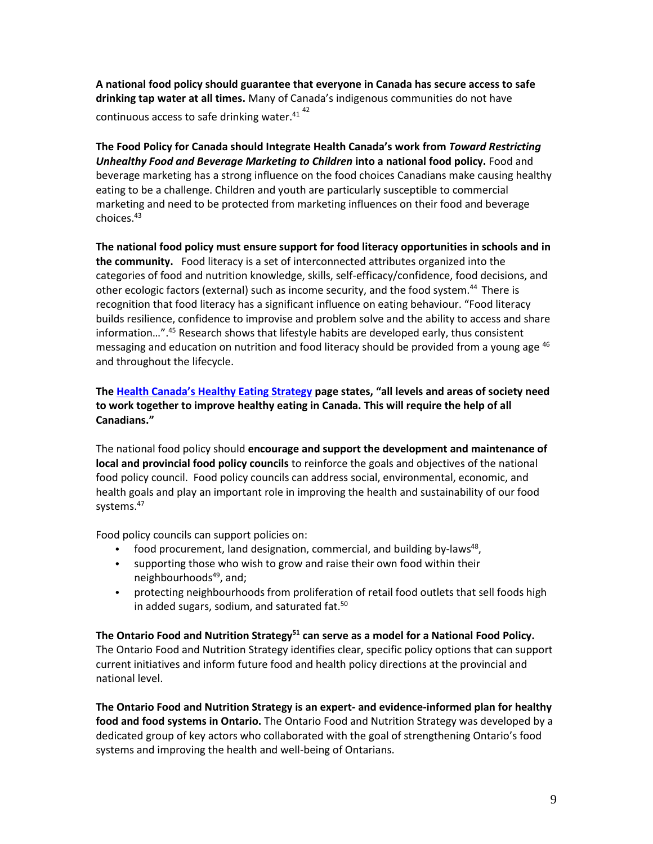**A national food policy should guarantee that everyone in Canada has secure access to safe drinking tap water at all times.** Many of Canada's indigenous communities do not have continuous access to safe drinking water. $41^{42}$ 

**The Food Policy for Canada should Integrate Health Canada's work from** *Toward Restricting Unhealthy Food and Beverage Marketing to Children* **into a national food policy.** Food and beverage marketing has a strong influence on the food choices Canadians make causing healthy eating to be a challenge. Children and youth are particularly susceptible to commercial marketing and need to be protected from marketing influences on their food and beverage choices.<sup>43</sup>

**The national food policy must ensure support for food literacy opportunities in schools and in the community.** Food literacy is a set of interconnected attributes organized into the categories of food and nutrition knowledge, skills, self-efficacy/confidence, food decisions, and other ecologic factors (external) such as income security, and the food system.<sup>44</sup> There is recognition that food literacy has a significant influence on eating behaviour. "Food literacy builds resilience, confidence to improvise and problem solve and the ability to access and share information...".<sup>45</sup> Research shows that lifestyle habits are developed early, thus consistent messaging and education on nutrition and food literacy should be provided from a young age <sup>46</sup> and throughout the lifecycle.

**The [Health Canada's Healthy Eating Strategy](https://www.canada.ca/en/services/health/campaigns/vision-healthy-canada/healthy-eating.html) page states, "all levels and areas of society need to work together to improve healthy eating in Canada. This will require the help of all Canadians."** 

The national food policy should **encourage and support the development and maintenance of local and provincial food policy councils** to reinforce the goals and objectives of the national food policy council. Food policy councils can address social, environmental, economic, and health goals and play an important role in improving the health and sustainability of our food systems.<sup>47</sup>

Food policy councils can support policies on:

- food procurement, land designation, commercial, and building by-laws<sup>48</sup>,
- supporting those who wish to grow and raise their own food within their neighbourhoods<sup>49</sup>, and;
- protecting neighbourhoods from proliferation of retail food outlets that sell foods high in added sugars, sodium, and saturated fat.<sup>50</sup>

**The Ontario Food and Nutrition Strategy<sup>51</sup> can serve as a model for a National Food Policy.**  The Ontario Food and Nutrition Strategy identifies clear, specific policy options that can support current initiatives and inform future food and health policy directions at the provincial and national level.

**The Ontario Food and Nutrition Strategy is an expert- and evidence-informed plan for healthy food and food systems in Ontario.** The Ontario Food and Nutrition Strategy was developed by a dedicated group of key actors who collaborated with the goal of strengthening Ontario's food systems and improving the health and well-being of Ontarians.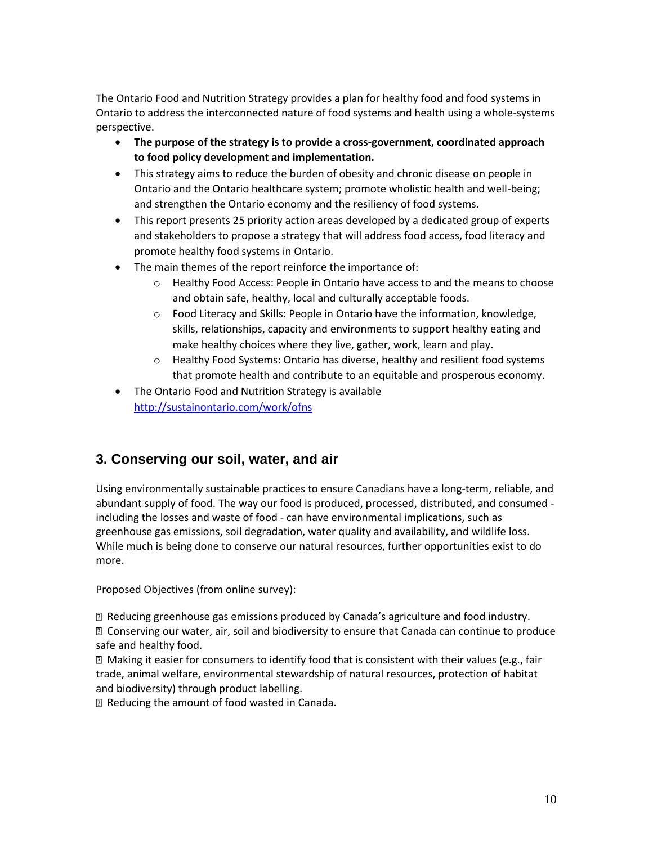The Ontario Food and Nutrition Strategy provides a plan for healthy food and food systems in Ontario to address the interconnected nature of food systems and health using a whole-systems perspective.

- **The purpose of the strategy is to provide a cross-government, coordinated approach to food policy development and implementation.**
- This strategy aims to reduce the burden of obesity and chronic disease on people in Ontario and the Ontario healthcare system; promote wholistic health and well-being; and strengthen the Ontario economy and the resiliency of food systems.
- This report presents 25 priority action areas developed by a dedicated group of experts and stakeholders to propose a strategy that will address food access, food literacy and promote healthy food systems in Ontario.
- The main themes of the report reinforce the importance of:
	- o Healthy Food Access: People in Ontario have access to and the means to choose and obtain safe, healthy, local and culturally acceptable foods.
	- o Food Literacy and Skills: People in Ontario have the information, knowledge, skills, relationships, capacity and environments to support healthy eating and make healthy choices where they live, gather, work, learn and play.
	- o Healthy Food Systems: Ontario has diverse, healthy and resilient food systems that promote health and contribute to an equitable and prosperous economy.
- The Ontario Food and Nutrition Strategy is available <http://sustainontario.com/work/ofns>

# **3. Conserving our soil, water, and air**

Using environmentally sustainable practices to ensure Canadians have a long-term, reliable, and abundant supply of food. The way our food is produced, processed, distributed, and consumed including the losses and waste of food - can have environmental implications, such as greenhouse gas emissions, soil degradation, water quality and availability, and wildlife loss. While much is being done to conserve our natural resources, further opportunities exist to do more.

Proposed Objectives (from online survey):

 Reducing greenhouse gas emissions produced by Canada's agriculture and food industry. Conserving our water, air, soil and biodiversity to ensure that Canada can continue to produce safe and healthy food.

 Making it easier for consumers to identify food that is consistent with their values (e.g., fair trade, animal welfare, environmental stewardship of natural resources, protection of habitat and biodiversity) through product labelling.

Reducing the amount of food wasted in Canada.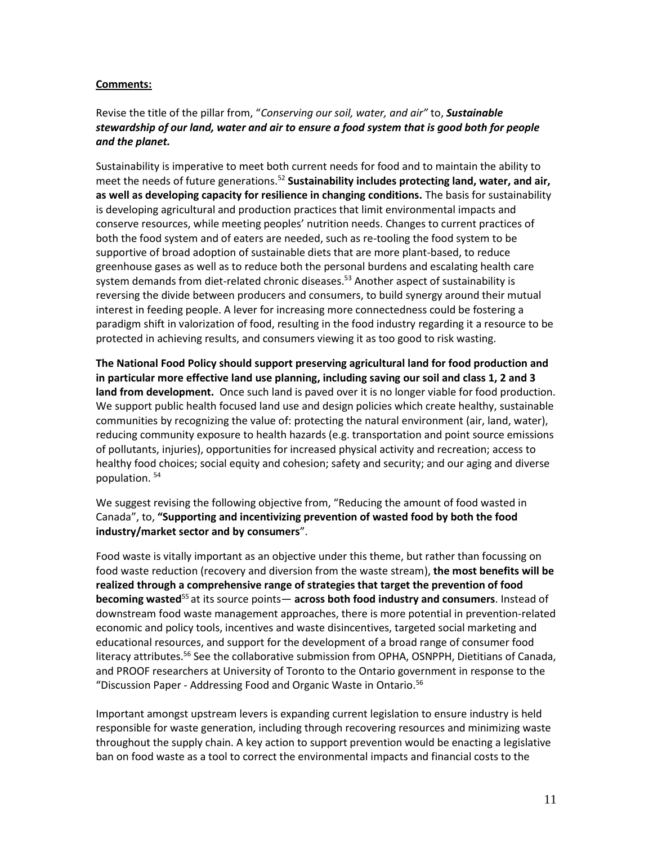#### **Comments:**

Revise the title of the pillar from, "*Conserving our soil, water, and air"* to, *Sustainable stewardship of our land, water and air to ensure a food system that is good both for people and the planet.* 

Sustainability is imperative to meet both current needs for food and to maintain the ability to meet the needs of future generations.<sup>52</sup> **Sustainability includes protecting land, water, and air, as well as developing capacity for resilience in changing conditions.** The basis for sustainability is developing agricultural and production practices that limit environmental impacts and conserve resources, while meeting peoples' nutrition needs. Changes to current practices of both the food system and of eaters are needed, such as re-tooling the food system to be supportive of broad adoption of sustainable diets that are more plant-based, to reduce greenhouse gases as well as to reduce both the personal burdens and escalating health care system demands from diet-related chronic diseases.<sup>53</sup> Another aspect of sustainability is reversing the divide between producers and consumers, to build synergy around their mutual interest in feeding people. A lever for increasing more connectedness could be fostering a paradigm shift in valorization of food, resulting in the food industry regarding it a resource to be protected in achieving results, and consumers viewing it as too good to risk wasting.

**The National Food Policy should support preserving agricultural land for food production and in particular more effective land use planning, including saving our soil and class 1, 2 and 3 land from development.** Once such land is paved over it is no longer viable for food production. We support public health focused land use and design policies which create healthy, sustainable communities by recognizing the value of: protecting the natural environment (air, land, water), reducing community exposure to health hazards (e.g. transportation and point source emissions of pollutants, injuries), opportunities for increased physical activity and recreation; access to healthy food choices; social equity and cohesion; safety and security; and our aging and diverse population. <sup>54</sup>

We suggest revising the following objective from, "Reducing the amount of food wasted in Canada", to, **"Supporting and incentivizing prevention of wasted food by both the food industry/market sector and by consumers**".

Food waste is vitally important as an objective under this theme, but rather than focussing on food waste reduction (recovery and diversion from the waste stream), **the most benefits will be realized through a comprehensive range of strategies that target the prevention of food becoming wasted**<sup>55</sup> at its source points— **across both food industry and consumers**. Instead of downstream food waste management approaches, there is more potential in prevention-related economic and policy tools, incentives and waste disincentives, targeted social marketing and educational resources, and support for the development of a broad range of consumer food literacy attributes.<sup>56</sup> See the collaborative submission from OPHA, OSNPPH, Dietitians of Canada, and PROOF researchers at University of Toronto to the Ontario government in response to the "Discussion Paper - Addressing Food and Organic Waste in Ontario.<sup>56</sup>

Important amongst upstream levers is expanding current legislation to ensure industry is held responsible for waste generation, including through recovering resources and minimizing waste throughout the supply chain. A key action to support prevention would be enacting a legislative ban on food waste as a tool to correct the environmental impacts and financial costs to the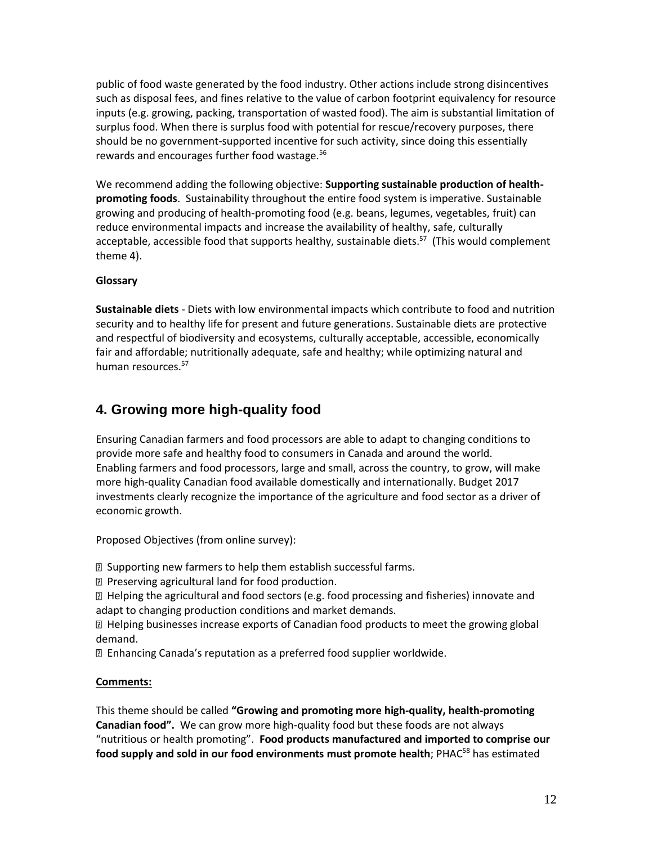public of food waste generated by the food industry. Other actions include strong disincentives such as disposal fees, and fines relative to the value of carbon footprint equivalency for resource inputs (e.g. growing, packing, transportation of wasted food). The aim is substantial limitation of surplus food. When there is surplus food with potential for rescue/recovery purposes, there should be no government-supported incentive for such activity, since doing this essentially rewards and encourages further food wastage.<sup>56</sup>

We recommend adding the following objective: **Supporting sustainable production of healthpromoting foods**. Sustainability throughout the entire food system is imperative. Sustainable growing and producing of health-promoting food (e.g. beans, legumes, vegetables, fruit) can reduce environmental impacts and increase the availability of healthy, safe, culturally acceptable, accessible food that supports healthy, sustainable diets.<sup>57</sup> (This would complement theme 4).

#### **Glossary**

**Sustainable diets** - Diets with low environmental impacts which contribute to food and nutrition security and to healthy life for present and future generations. Sustainable diets are protective and respectful of biodiversity and ecosystems, culturally acceptable, accessible, economically fair and affordable; nutritionally adequate, safe and healthy; while optimizing natural and human resources.<sup>57</sup>

# **4. Growing more high-quality food**

Ensuring Canadian farmers and food processors are able to adapt to changing conditions to provide more safe and healthy food to consumers in Canada and around the world. Enabling farmers and food processors, large and small, across the country, to grow, will make more high-quality Canadian food available domestically and internationally. Budget 2017 investments clearly recognize the importance of the agriculture and food sector as a driver of economic growth.

Proposed Objectives (from online survey):

**E** Supporting new farmers to help them establish successful farms.

**P** Preserving agricultural land for food production.

 Helping the agricultural and food sectors (e.g. food processing and fisheries) innovate and adapt to changing production conditions and market demands.

 $\mathbb D$  Helping businesses increase exports of Canadian food products to meet the growing global demand.

Enhancing Canada's reputation as a preferred food supplier worldwide.

#### **Comments:**

This theme should be called **"Growing and promoting more high-quality, health-promoting Canadian food".** We can grow more high-quality food but these foods are not always "nutritious or health promoting". **Food products manufactured and imported to comprise our**  food supply and sold in our food environments must promote health; PHAC<sup>58</sup> has estimated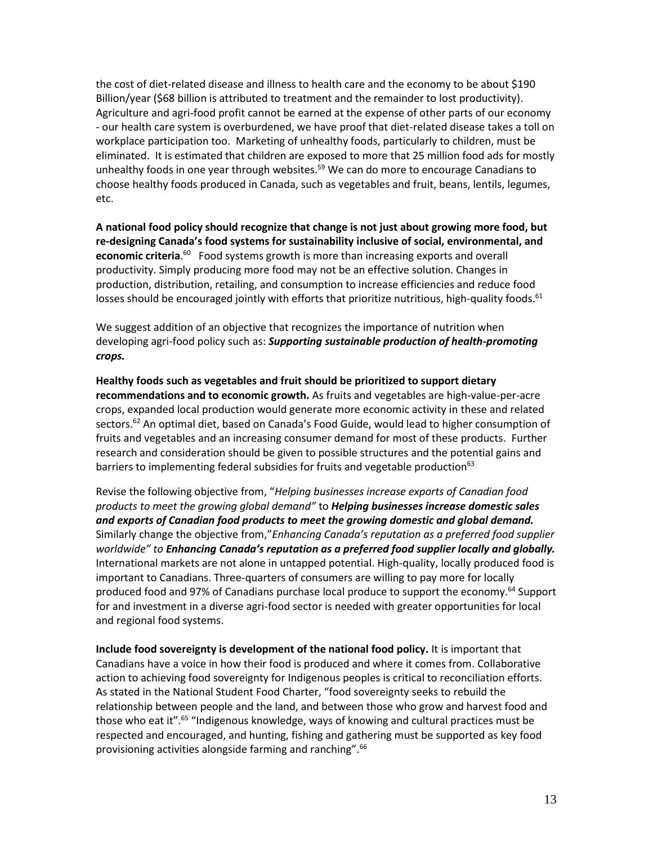the cost of diet-related disease and illness to health care and the economy to be about \$190 Billion/year (\$68 billion is attributed to treatment and the remainder to lost productivity). Agriculture and agri-food profit cannot be earned at the expense of other parts of our economy - our health care system is overburdened, we have proof that diet-related disease takes a toll on workplace participation too. Marketing of unhealthy foods, particularly to children, must be eliminated. It is estimated that children are exposed to more that 25 million food ads for mostly unhealthy foods in one year through websites.<sup>59</sup> We can do more to encourage Canadians to choose healthy foods produced in Canada, such as vegetables and fruit, beans, lentils, legumes, etc.

**A national food policy should recognize that change is not just about growing more food, but re-designing Canada's food systems for sustainability inclusive of social, environmental, and**  economic criteria.<sup>60</sup> Food systems growth is more than increasing exports and overall productivity. Simply producing more food may not be an effective solution. Changes in production, distribution, retailing, and consumption to increase efficiencies and reduce food losses should be encouraged jointly with efforts that prioritize nutritious, high-quality foods.<sup>61</sup>

We suggest addition of an objective that recognizes the importance of nutrition when developing agri-food policy such as: *Supporting sustainable production of health-promoting crops.* 

**Healthy foods such as vegetables and fruit should be prioritized to support dietary recommendations and to economic growth.** As fruits and vegetables are high-value-per-acre crops, expanded local production would generate more economic activity in these and related sectors.<sup>62</sup> An optimal diet, based on Canada's Food Guide, would lead to higher consumption of fruits and vegetables and an increasing consumer demand for most of these products. Further research and consideration should be given to possible structures and the potential gains and barriers to implementing federal subsidies for fruits and vegetable production<sup>63</sup>

Revise the following objective from, "*Helping businesses increase exports of Canadian food products to meet the growing global demand"* to *Helping businesses increase domestic sales and exports of Canadian food products to meet the growing domestic and global demand.* Similarly change the objective from,"*Enhancing Canada's reputation as a preferred food supplier worldwide" to Enhancing Canada's reputation as a preferred food supplier locally and globally.*  International markets are not alone in untapped potential. High-quality, locally produced food is important to Canadians. Three-quarters of consumers are willing to pay more for locally produced food and 97% of Canadians purchase local produce to support the economy.<sup>64</sup> Support for and investment in a diverse agri-food sector is needed with greater opportunities for local and regional food systems.

**Include food sovereignty is development of the national food policy.** It is important that Canadians have a voice in how their food is produced and where it comes from. Collaborative action to achieving food sovereignty for Indigenous peoples is critical to reconciliation efforts. As stated in the National Student Food Charter, "food sovereignty seeks to rebuild the relationship between people and the land, and between those who grow and harvest food and those who eat it".<sup>65</sup> "Indigenous knowledge, ways of knowing and cultural practices must be respected and encouraged, and hunting, fishing and gathering must be supported as key food provisioning activities alongside farming and ranching".<sup>66</sup>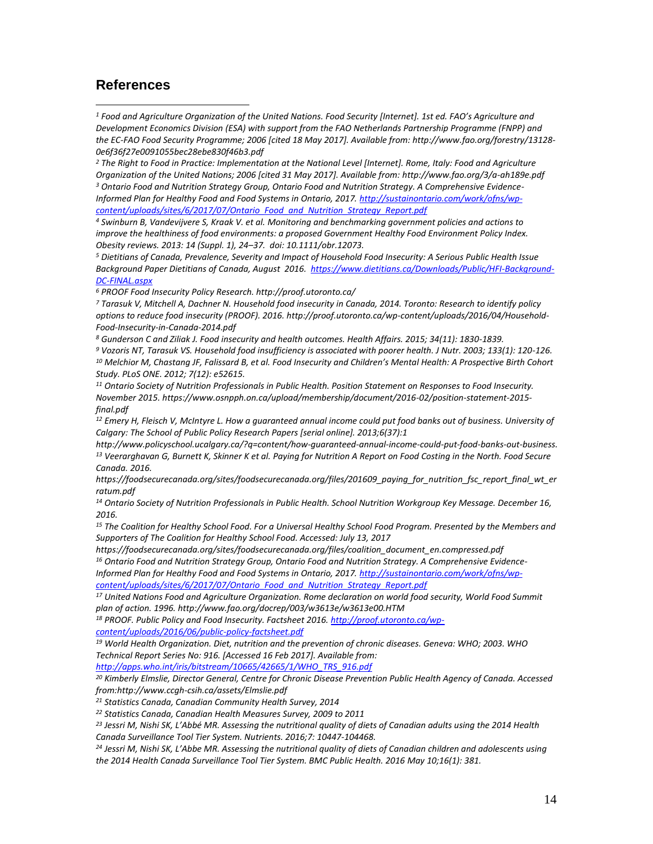### **References**

 $\overline{a}$ 

*<sup>1</sup> Food and Agriculture Organization of the United Nations. Food Security [Internet]. 1st ed. FAO's Agriculture and Development Economics Division (ESA) with support from the FAO Netherlands Partnership Programme (FNPP) and the EC-FAO Food Security Programme; 2006 [cited 18 May 2017]. Available from: http://www.fao.org/forestry/13128- 0e6f36f27e0091055bec28ebe830f46b3.pdf* 

*<sup>2</sup> The Right to Food in Practice: Implementation at the National Level [Internet]. Rome, Italy: Food and Agriculture Organization of the United Nations; 2006 [cited 31 May 2017]. Available from: http://www.fao.org/3/a-ah189e.pdf <sup>3</sup> Ontario Food and Nutrition Strategy Group, Ontario Food and Nutrition Strategy. A Comprehensive Evidence-Informed Plan for Healthy Food and Food Systems in Ontario, 2017. [http://sustainontario.com/work/ofns/wp](http://sustainontario.com/work/ofns/wp-content/uploads/sites/6/2017/07/Ontario_Food_and_Nutrition_Strategy_Report.pdf)[content/uploads/sites/6/2017/07/Ontario\\_Food\\_and\\_Nutrition\\_Strategy\\_Report.pdf](http://sustainontario.com/work/ofns/wp-content/uploads/sites/6/2017/07/Ontario_Food_and_Nutrition_Strategy_Report.pdf)*

*<sup>4</sup> Swinburn B, Vandevijvere S, Kraak V. et al. Monitoring and benchmarking government policies and actions to improve the healthiness of food environments: a proposed Government Healthy Food Environment Policy Index. Obesity reviews. 2013: 14 (Suppl. 1), 24–37. doi: 10.1111/obr.12073.*

*<sup>5</sup> Dietitians of Canada, Prevalence, Severity and Impact of Household Food Insecurity: A Serious Public Health Issue Background Paper Dietitians of Canada, August 2016. [https://www.dietitians.ca/Downloads/Public/HFI-Background-](https://www.dietitians.ca/Downloads/Public/HFI-Background-DC-FINAL.aspx)[DC-FINAL.aspx](https://www.dietitians.ca/Downloads/Public/HFI-Background-DC-FINAL.aspx)*

*<sup>6</sup> PROOF Food Insecurity Policy Research. http://proof.utoronto.ca/* 

*<sup>7</sup> Tarasuk V, Mitchell A, Dachner N. Household food insecurity in Canada, 2014. Toronto: Research to identify policy options to reduce food insecurity (PROOF). 2016. http://proof.utoronto.ca/wp-content/uploads/2016/04/Household-Food-Insecurity-in-Canada-2014.pdf* 

*<sup>8</sup> Gunderson C and Ziliak J. Food insecurity and health outcomes. Health Affairs. 2015; 34(11): 1830-1839.* 

*<sup>9</sup> Vozoris NT, Tarasuk VS. Household food insufficiency is associated with poorer health. J Nutr. 2003; 133(1): 120-126. <sup>10</sup> Melchior M, Chastang JF, Falissard B, et al. Food Insecurity and Children's Mental Health: A Prospective Birth Cohort Study. PLoS ONE. 2012; 7(12): e52615.* 

*<sup>11</sup> Ontario Society of Nutrition Professionals in Public Health. Position Statement on Responses to Food Insecurity. November 2015. https://www.osnpph.on.ca/upload/membership/document/2016-02/position-statement-2015 final.pdf* 

*<sup>12</sup> Emery H, Fleisch V, McIntyre L. How a guaranteed annual income could put food banks out of business. University of Calgary: The School of Public Policy Research Papers [serial online]. 2013;6(37):1* 

*http://www.policyschool.ucalgary.ca/?q=content/how-guaranteed-annual-income-could-put-food-banks-out-business. <sup>13</sup> Veerarghavan G, Burnett K, Skinner K et al. Paying for Nutrition A Report on Food Costing in the North. Food Secure Canada. 2016.* 

*https://foodsecurecanada.org/sites/foodsecurecanada.org/files/201609\_paying\_for\_nutrition\_fsc\_report\_final\_wt\_er ratum.pdf* 

*<sup>14</sup> Ontario Society of Nutrition Professionals in Public Health. School Nutrition Workgroup Key Message. December 16, 2016.* 

*<sup>15</sup> The Coalition for Healthy School Food. For a Universal Healthy School Food Program. Presented by the Members and Supporters of The Coalition for Healthy School Food. Accessed: July 13, 2017* 

*https://foodsecurecanada.org/sites/foodsecurecanada.org/files/coalition\_document\_en.compressed.pdf <sup>16</sup> Ontario Food and Nutrition Strategy Group, Ontario Food and Nutrition Strategy. A Comprehensive Evidence-*

*Informed Plan for Healthy Food and Food Systems in Ontario, 2017. [http://sustainontario.com/work/ofns/wp](http://sustainontario.com/work/ofns/wp-content/uploads/sites/6/2017/07/Ontario_Food_and_Nutrition_Strategy_Report.pdf)[content/uploads/sites/6/2017/07/Ontario\\_Food\\_and\\_Nutrition\\_Strategy\\_Report.pdf](http://sustainontario.com/work/ofns/wp-content/uploads/sites/6/2017/07/Ontario_Food_and_Nutrition_Strategy_Report.pdf)*

*<sup>17</sup> United Nations Food and Agriculture Organization. Rome declaration on world food security, World Food Summit plan of action. 1996. http://www.fao.org/docrep/003/w3613e/w3613e00.HTM* 

*<sup>18</sup> PROOF. Public Policy and Food Insecurity. Factsheet 2016[. http://proof.utoronto.ca/wp](http://proof.utoronto.ca/wp-content/uploads/2016/06/public-policy-factsheet.pdf)[content/uploads/2016/06/public-policy-factsheet.pdf](http://proof.utoronto.ca/wp-content/uploads/2016/06/public-policy-factsheet.pdf)*

*<sup>19</sup> World Health Organization. Diet, nutrition and the prevention of chronic diseases. Geneva: WHO; 2003. WHO Technical Report Series No: 916. [Accessed 16 Feb 2017]. Available from:* 

*[http://apps.who.int/iris/bitstream/10665/42665/1/WHO\\_TRS\\_916.pdf](http://apps.who.int/iris/bitstream/10665/42665/1/WHO_TRS_916.pdf)*

*<sup>20</sup> Kimberly Elmslie, Director General, Centre for Chronic Disease Prevention Public Health Agency of Canada. Accessed from:http://www.ccgh-csih.ca/assets/Elmslie.pdf*

*<sup>21</sup> Statistics Canada, Canadian Community Health Survey, 2014* 

*<sup>22</sup> Statistics Canada, Canadian Health Measures Survey, 2009 to 2011*

*<sup>23</sup> Jessri M, Nishi SK, L'Abbé MR. Assessing the nutritional quality of diets of Canadian adults using the 2014 Health Canada Surveillance Tool Tier System. Nutrients. 2016;7: 10447-104468.*

*<sup>24</sup> Jessri M, Nishi SK, L'Abbe MR. Assessing the nutritional quality of diets of Canadian children and adolescents using the 2014 Health Canada Surveillance Tool Tier System. BMC Public Health. 2016 May 10;16(1): 381.*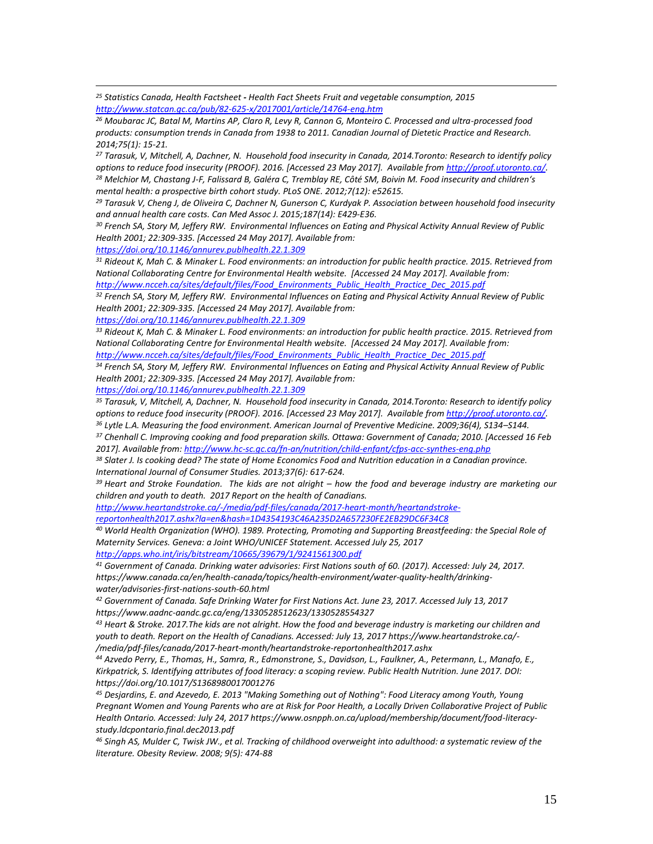*<sup>25</sup> Statistics Canada, Health Factsheet - Health Fact Sheets Fruit and vegetable consumption, 2015 <http://www.statcan.gc.ca/pub/82-625-x/2017001/article/14764-eng.htm>*

*<sup>26</sup> Moubarac JC, Batal M, Martins AP, Claro R, Levy R, Cannon G, Monteiro C. Processed and ultra-processed food products: consumption trends in Canada from 1938 to 2011. Canadian Journal of Dietetic Practice and Research. 2014;75(1): 15-21.*

*<sup>27</sup> Tarasuk, V, Mitchell, A, Dachner, N. Household food insecurity in Canada, 2014.Toronto: Research to identify policy options to reduce food insecurity (PROOF). 2016. [Accessed 23 May 2017]. Available fro[m http://proof.utoronto.ca/.](http://proof.utoronto.ca/) <sup>28</sup> Melchior M, Chastang J-F, Falissard B, Galéra C, Tremblay RE, Côté SM, Boivin M. Food insecurity and children's mental health: a prospective birth cohort study. PLoS ONE. 2012;7(12): e52615.*

*<sup>29</sup> Tarasuk V, Cheng J, de Oliveira C, Dachner N, Gunerson C, Kurdyak P. Association between household food insecurity and annual health care costs. Can Med Assoc J. 2015;187(14): E429-E36.*

*<sup>30</sup> French SA, Story M, Jeffery RW. Environmental Influences on Eating and Physical Activity Annual Review of Public Health 2001; 22:309-335. [Accessed 24 May 2017]. Available from:* 

*<https://doi.org/10.1146/annurev.publhealth.22.1.309>*

 $\overline{a}$ 

*<sup>31</sup> Rideout K, Mah C. & Minaker L. Food environments: an introduction for public health practice. 2015. Retrieved from National Collaborating Centre for Environmental Health website. [Accessed 24 May 2017]. Available from: [http://www.ncceh.ca/sites/default/files/Food\\_Environments\\_Public\\_Health\\_Practice\\_Dec\\_2015.pdf](http://www.ncceh.ca/sites/default/files/Food_Environments_Public_Health_Practice_Dec_2015.pdf)* 

*<sup>32</sup> French SA, Story M, Jeffery RW. Environmental Influences on Eating and Physical Activity Annual Review of Public Health 2001; 22:309-335. [Accessed 24 May 2017]. Available from:* 

*<https://doi.org/10.1146/annurev.publhealth.22.1.309>*

*<sup>33</sup> Rideout K, Mah C. & Minaker L. Food environments: an introduction for public health practice. 2015. Retrieved from National Collaborating Centre for Environmental Health website. [Accessed 24 May 2017]. Available from: [http://www.ncceh.ca/sites/default/files/Food\\_Environments\\_Public\\_Health\\_Practice\\_Dec\\_2015.pdf](http://www.ncceh.ca/sites/default/files/Food_Environments_Public_Health_Practice_Dec_2015.pdf)*

*<sup>34</sup> French SA, Story M, Jeffery RW. Environmental Influences on Eating and Physical Activity Annual Review of Public Health 2001; 22:309-335. [Accessed 24 May 2017]. Available from:* 

*<https://doi.org/10.1146/annurev.publhealth.22.1.309>*

*<sup>35</sup> Tarasuk, V, Mitchell, A, Dachner, N. Household food insecurity in Canada, 2014.Toronto: Research to identify policy options to reduce food insecurity (PROOF). 2016. [Accessed 23 May 2017]. Available fro[m http://proof.utoronto.ca/.](http://proof.utoronto.ca/)* 

*<sup>36</sup> Lytle L.A. Measuring the food environment. American Journal of Preventive Medicine. 2009;36(4), S134–S144.*

*<sup>37</sup> Chenhall C. Improving cooking and food preparation skills. Ottawa: Government of Canada; 2010. [Accessed 16 Feb 2017]. Available from:<http://www.hc-sc.gc.ca/fn-an/nutrition/child-enfant/cfps-acc-synthes-eng.php>*

*<sup>38</sup> Slater J. Is cooking dead? The state of Home Economics Food and Nutrition education in a Canadian province. International Journal of Consumer Studies. 2013;37(6): 617-624.*

<sup>39</sup> Heart and Stroke Foundation. The kids are not alright – how the food and beverage industry are marketing our *children and youth to death. 2017 Report on the health of Canadians.*

*[http://www.heartandstroke.ca/-/media/pdf-files/canada/2017-heart-month/heartandstroke](http://www.heartandstroke.ca/-/media/pdf-files/canada/2017-heart-month/heartandstroke-reportonhealth2017.ashx?la=en&hash=1D4354193C46A235D2A657230FE2EB29DC6F34C8)[reportonhealth2017.ashx?la=en&hash=1D4354193C46A235D2A657230FE2EB29DC6F34C8](http://www.heartandstroke.ca/-/media/pdf-files/canada/2017-heart-month/heartandstroke-reportonhealth2017.ashx?la=en&hash=1D4354193C46A235D2A657230FE2EB29DC6F34C8)*

*<sup>40</sup> World Health Organization (WHO). 1989. Protecting, Promoting and Supporting Breastfeeding: the Special Role of Maternity Services. Geneva: a Joint WHO/UNICEF Statement. Accessed July 25, 2017 <http://apps.who.int/iris/bitstream/10665/39679/1/9241561300.pdf>*

*<sup>41</sup> Government of Canada. Drinking water advisories: First Nations south of 60. (2017). Accessed: July 24, 2017. https://www.canada.ca/en/health-canada/topics/health-environment/water-quality-health/drinkingwater/advisories-first-nations-south-60.html* 

*<sup>42</sup> Government of Canada. Safe Drinking Water for First Nations Act. June 23, 2017. Accessed July 13, 2017 https://www.aadnc-aandc.gc.ca/eng/1330528512623/1330528554327* 

*<sup>43</sup> Heart & Stroke. 2017.The kids are not alright. How the food and beverage industry is marketing our children and youth to death. Report on the Health of Canadians. Accessed: July 13, 2017 https://www.heartandstroke.ca/- /media/pdf-files/canada/2017-heart-month/heartandstroke-reportonhealth2017.ashx* 

*<sup>44</sup> Azvedo Perry, E., Thomas, H., Samra, R., Edmonstrone, S., Davidson, L., Faulkner, A., Petermann, L., Manafo, E., Kirkpatrick, S. Identifying attributes of food literacy: a scoping review. Public Health Nutrition. June 2017. DOI: https://doi.org/10.1017/S1368980017001276* 

*<sup>45</sup> Desjardins, E. and Azevedo, E. 2013 "Making Something out of Nothing": Food Literacy among Youth, Young Pregnant Women and Young Parents who are at Risk for Poor Health, a Locally Driven Collaborative Project of Public Health Ontario. Accessed: July 24, 2017 https://www.osnpph.on.ca/upload/membership/document/food-literacystudy.ldcpontario.final.dec2013.pdf* 

*<sup>46</sup> Singh AS, Mulder C, Twisk JW., et al. Tracking of childhood overweight into adulthood: a systematic review of the literature. Obesity Review. 2008; 9(5): 474-88*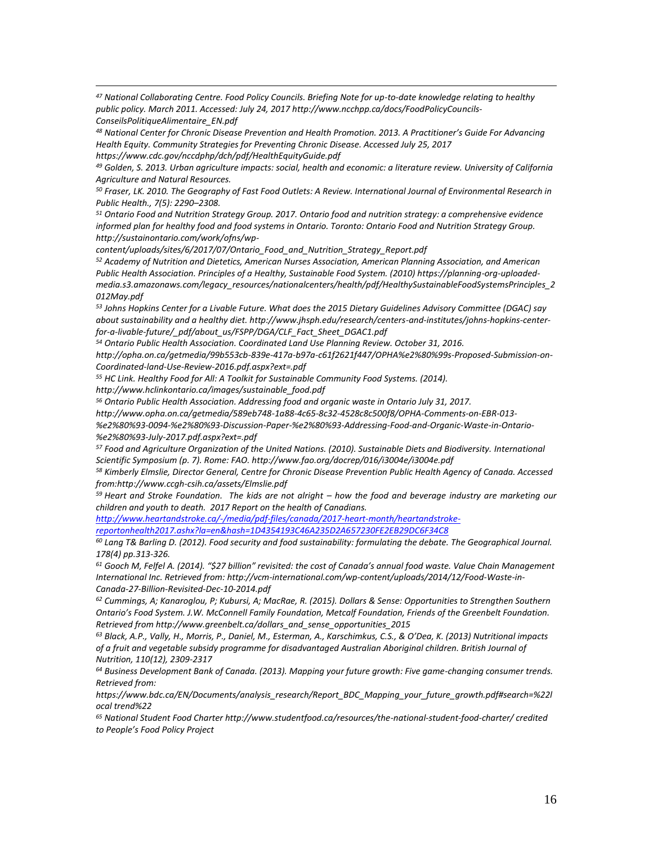*<sup>47</sup> National Collaborating Centre. Food Policy Councils. Briefing Note for up-to-date knowledge relating to healthy public policy. March 2011. Accessed: July 24, 2017 http://www.ncchpp.ca/docs/FoodPolicyCouncils-ConseilsPolitiqueAlimentaire\_EN.pdf* 

*<sup>48</sup> National Center for Chronic Disease Prevention and Health Promotion. 2013. A Practitioner's Guide For Advancing Health Equity. Community Strategies for Preventing Chronic Disease. Accessed July 25, 2017 https://www.cdc.gov/nccdphp/dch/pdf/HealthEquityGuide.pdf* 

*<sup>49</sup> Golden, S. 2013. Urban agriculture impacts: social, health and economic: a literature review. University of California Agriculture and Natural Resources.* 

*<sup>50</sup> Fraser, LK. 2010. The Geography of Fast Food Outlets: A Review. International Journal of Environmental Research in Public Health., 7(5): 2290–2308.* 

*<sup>51</sup> Ontario Food and Nutrition Strategy Group. 2017. Ontario food and nutrition strategy: a comprehensive evidence informed plan for healthy food and food systems in Ontario. Toronto: Ontario Food and Nutrition Strategy Group. http://sustainontario.com/work/ofns/wp-*

*content/uploads/sites/6/2017/07/Ontario\_Food\_and\_Nutrition\_Strategy\_Report.pdf* 

*<sup>52</sup> Academy of Nutrition and Dietetics, American Nurses Association, American Planning Association, and American Public Health Association. Principles of a Healthy, Sustainable Food System. (2010) https://planning-org-uploadedmedia.s3.amazonaws.com/legacy\_resources/nationalcenters/health/pdf/HealthySustainableFoodSystemsPrinciples\_2 012May.pdf* 

*<sup>53</sup> Johns Hopkins Center for a Livable Future. What does the 2015 Dietary Guidelines Advisory Committee (DGAC) say about sustainability and a healthy diet. http://www.jhsph.edu/research/centers-and-institutes/johns-hopkins-centerfor-a-livable-future/\_pdf/about\_us/FSPP/DGA/CLF\_Fact\_Sheet\_DGAC1.pdf* 

*<sup>54</sup> Ontario Public Health Association. Coordinated Land Use Planning Review. October 31, 2016.* 

*http://opha.on.ca/getmedia/99b553cb-839e-417a-b97a-c61f2621f447/OPHA%e2%80%99s-Proposed-Submission-on-Coordinated-land-Use-Review-2016.pdf.aspx?ext=.pdf*

*<sup>55</sup> HC Link. Healthy Food for All: A Toolkit for Sustainable Community Food Systems. (2014).* 

*http://www.hclinkontario.ca/images/sustainable\_food.pdf* 

 $\overline{a}$ 

*<sup>56</sup> Ontario Public Health Association. Addressing food and organic waste in Ontario July 31, 2017.* 

*http://www.opha.on.ca/getmedia/589eb748-1a88-4c65-8c32-4528c8c500f8/OPHA-Comments-on-EBR-013-*

*%e2%80%93-0094-%e2%80%93-Discussion-Paper-%e2%80%93-Addressing-Food-and-Organic-Waste-in-Ontario- %e2%80%93-July-2017.pdf.aspx?ext=.pdf*

*<sup>57</sup> Food and Agriculture Organization of the United Nations. (2010). Sustainable Diets and Biodiversity. International Scientific Symposium (p. 7). Rome: FAO. http://www.fao.org/docrep/016/i3004e/i3004e.pdf* 

*<sup>58</sup> Kimberly Elmslie, Director General, Centre for Chronic Disease Prevention Public Health Agency of Canada. Accessed from:http://www.ccgh-csih.ca/assets/Elmslie.pdf*

<sup>59</sup> Heart and Stroke Foundation. The kids are not alright – how the food and beverage industry are marketing our *children and youth to death. 2017 Report on the health of Canadians.*

*[http://www.heartandstroke.ca/-/media/pdf-files/canada/2017-heart-month/heartandstroke](http://www.heartandstroke.ca/-/media/pdf-files/canada/2017-heart-month/heartandstroke-reportonhealth2017.ashx?la=en&hash=1D4354193C46A235D2A657230FE2EB29DC6F34C8)[reportonhealth2017.ashx?la=en&hash=1D4354193C46A235D2A657230FE2EB29DC6F34C8](http://www.heartandstroke.ca/-/media/pdf-files/canada/2017-heart-month/heartandstroke-reportonhealth2017.ashx?la=en&hash=1D4354193C46A235D2A657230FE2EB29DC6F34C8)*

*<sup>60</sup> Lang T& Barling D. (2012). Food security and food sustainability: formulating the debate. The Geographical Journal. 178(4) pp.313-326.* 

*<sup>61</sup> Gooch M, Felfel A. (2014). "\$27 billion" revisited: the cost of Canada's annual food waste. Value Chain Management International Inc. Retrieved from: http://vcm-international.com/wp-content/uploads/2014/12/Food-Waste-in-Canada-27-Billion-Revisited-Dec-10-2014.pdf* 

*<sup>62</sup> Cummings, A; Kanaroglou, P; Kubursi, A; MacRae, R. (2015). Dollars & Sense: Opportunities to Strengthen Southern Ontario's Food System. J.W. McConnell Family Foundation, Metcalf Foundation, Friends of the Greenbelt Foundation. Retrieved from http://www.greenbelt.ca/dollars\_and\_sense\_opportunities\_2015* 

*<sup>63</sup> Black, A.P., Vally, H., Morris, P., Daniel, M., Esterman, A., Karschimkus, C.S., & O'Dea, K. (2013) Nutritional impacts of a fruit and vegetable subsidy programme for disadvantaged Australian Aboriginal children. British Journal of Nutrition, 110(12), 2309-2317* 

*<sup>64</sup> Business Development Bank of Canada. (2013). Mapping your future growth: Five game-changing consumer trends. Retrieved from:* 

*https://www.bdc.ca/EN/Documents/analysis\_research/Report\_BDC\_Mapping\_your\_future\_growth.pdf#search=%22l ocal trend%22* 

*<sup>65</sup> National Student Food Charter http://www.studentfood.ca/resources/the-national-student-food-charter/ credited to People's Food Policy Project*